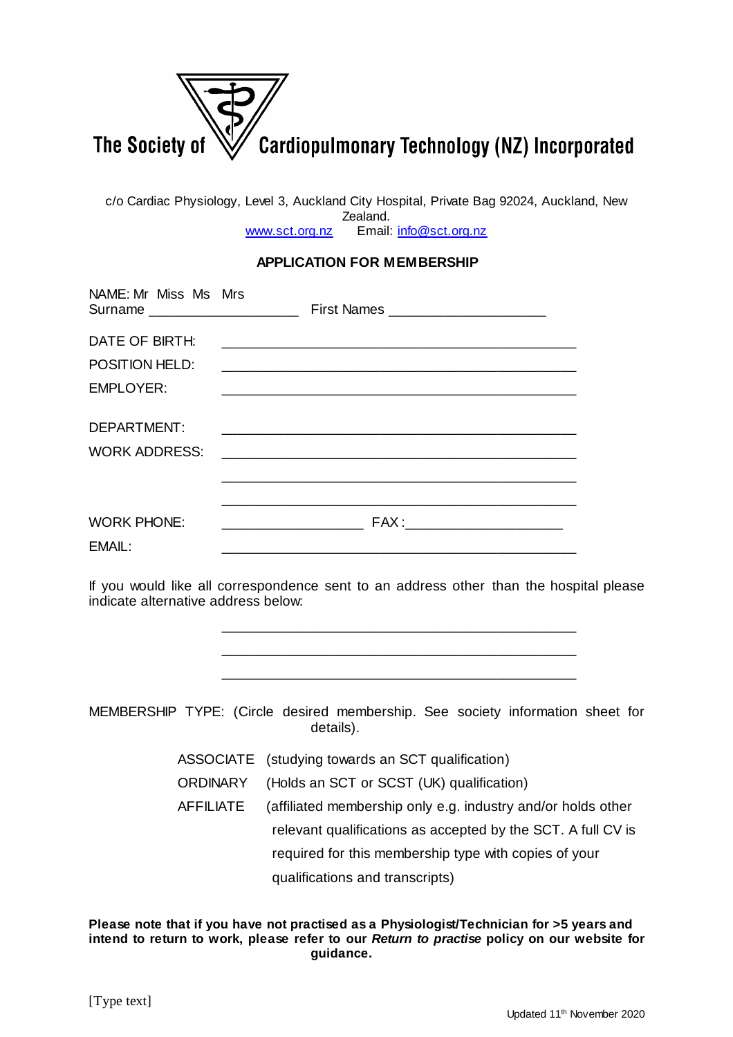

c/o Cardiac Physiology, Level 3, Auckland City Hospital, Private Bag 92024, Auckland, New Zealand. [www.sct.org.nz](http://www.sct.org.nz/) Email: [info@sct.org.nz](mailto:info@sct.org.nz)

## **APPLICATION FOR MEMBERSHIP**

| NAME: Mr Miss Ms Mrs<br>Surname _______________________ |                                  |
|---------------------------------------------------------|----------------------------------|
| DATE OF BIRTH:                                          |                                  |
| <b>POSITION HELD:</b>                                   |                                  |
| <b>EMPLOYER:</b>                                        |                                  |
| DEPARTMENT:<br><b>WORK ADDRESS:</b>                     |                                  |
| <b>WORK PHONE:</b><br>EMAIL:                            | FAX : __________________________ |

If you would like all correspondence sent to an address other than the hospital please indicate alternative address below:

\_\_\_\_\_\_\_\_\_\_\_\_\_\_\_\_\_\_\_\_\_\_\_\_\_\_\_\_\_\_\_\_\_\_\_\_\_\_\_\_\_\_\_\_\_

\_\_\_\_\_\_\_\_\_\_\_\_\_\_\_\_\_\_\_\_\_\_\_\_\_\_\_\_\_\_\_\_\_\_\_\_\_\_\_\_\_\_\_\_\_ \_\_\_\_\_\_\_\_\_\_\_\_\_\_\_\_\_\_\_\_\_\_\_\_\_\_\_\_\_\_\_\_\_\_\_\_\_\_\_\_\_\_\_\_\_ MEMBERSHIP TYPE: (Circle desired membership. See society information sheet for details). ASSOCIATE (studying towards an SCT qualification) ORDINARY (Holds an SCT or SCST (UK) qualification) AFFILIATE (affiliated membership only e.g. industry and/or holds other relevant qualifications as accepted by the SCT. A full CV is required for this membership type with copies of your qualifications and transcripts)

**Please note that if you have not practised as a Physiologist/Technician for >5 years and intend to return to work, please refer to our** *Return to practise* **policy on our website for guidance.**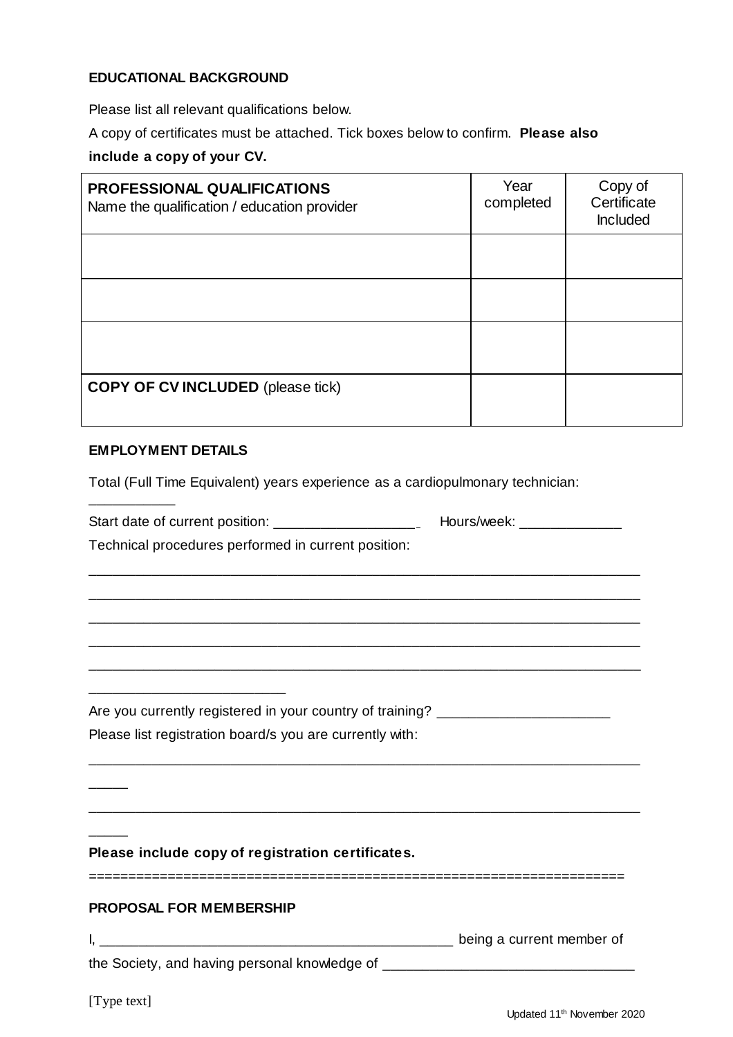# **EDUCATIONAL BACKGROUND**

Please list all relevant qualifications below.

A copy of certificates must be attached. Tick boxes below to confirm. **Please also include a copy of your CV.**

| <b>PROFESSIONAL QUALIFICATIONS</b><br>Name the qualification / education provider | Year<br>completed | Copy of<br>Certificate<br>Included |
|-----------------------------------------------------------------------------------|-------------------|------------------------------------|
|                                                                                   |                   |                                    |
|                                                                                   |                   |                                    |
|                                                                                   |                   |                                    |
| <b>COPY OF CV INCLUDED</b> (please tick)                                          |                   |                                    |

### **EMPLOYMENT DETAILS**

\_\_\_\_\_\_\_\_\_\_\_

Total (Full Time Equivalent) years experience as a cardiopulmonary technician:

| Technical procedures performed in current position:                              |  |  |
|----------------------------------------------------------------------------------|--|--|
|                                                                                  |  |  |
|                                                                                  |  |  |
|                                                                                  |  |  |
| Are you currently registered in your country of training? ______________________ |  |  |
| Please list registration board/s you are currently with:                         |  |  |
|                                                                                  |  |  |
| Please include copy of registration certificates.                                |  |  |
| <b>PROPOSAL FOR MEMBERSHIP</b>                                                   |  |  |
|                                                                                  |  |  |
| the Society, and having personal knowledge of __________________________________ |  |  |